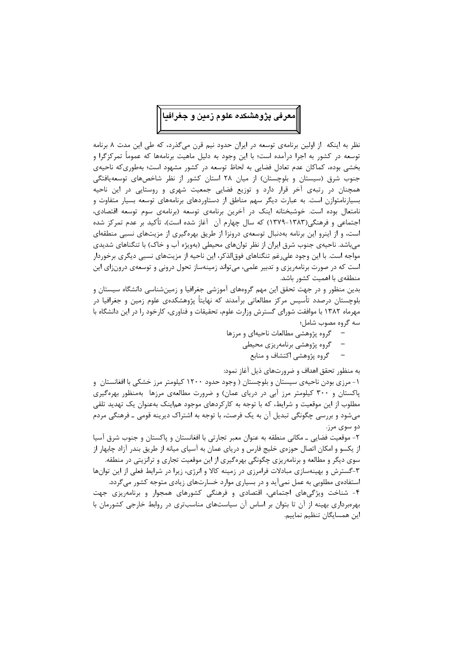

نظر به اینکه از اولین برنامهی توسعه در ایران حدود نیم قرن میگذرد، که طی این مدت ۸ برنامه توسعه در کشور به اجرا درآمده است؛ با این وجود به دلیل ماهیت برنامهها که عموماً تمرکزگرا و بخشی بوده، کماکان عدم تعادل فضایی به لحاظ توسعه در کشور مشهود است؛ بهطوریکه ناحیهی جنوب شرق (سیستان و بلوچستان) از میان ۲۸ استان کشور از نظر شاخصهای توسعهیافتگی همچنان در رتبهی آخر قرار دارد و توزیع فضایی جمعیت شهری و روستایی در این ناحیه بسیارنامتوازن است. به عبارت دیگر سهم مناطق از دستاوردهای برنامههای توسعه بسیار متفاوت و نامتعال بوده است. خوشبختانه اینک در آخرین برنامهی توسعه (برنامهی سوم توسعه اقتصادی، اجتماعی و فرهنگی(۱۳۸۳-۱۳۷۹) که سال چهارم آن 「أغاز شده است)، تأکید بر عدم تمرکز شده است، و از اینرو این برنامه بهدنبال توسعهی درونزا از طریق بهرهگیری از مزیتهای نسبی منطقهای میباشد. ناحیهی جنوب شرق ایران از نظر توانهای محیطی (بهویژه آب و خاک) با تنگناهای شدیدی مواجه است. با این وجود علیرغم تنگناهای فوق|لذکر، این ناحیه از مزیتهای نسبی دیگری برخوردار است که در صورت برنامهریزی و تدبیر علمی، میتواند زمینهساز تحول درونی و توسعهی درونزای این منطقهی با اهمیت کشور باشد.

بدین منظور و در جهت تحقق این مهم گروههای آموزشی جغرافیا و زمینشناسی دانشگاه سیستان و بلوچستان درصدد تأسیس مرکز مطالعاتی برآمدند که نهایتاً پژوهشکدهی علوم زمین و جغرافیا در مهرماه ۱۳۸۲ با موافقت شورای گسترش وزارت علوم، تحقیقات و فناوری، کارخود را در این دانشگاه با سه گروه مصوب شامل؛

- گروه پژوهشی مطالعات ناحیهای و مرزها
	- گروه پژوهشی برنامهریزی محیطی
		- گروه پژوهشی اکتشاف و منابع

به منظور تحقق اهداف و ضرورتهای ذیل آغاز نمود:

۱- مرزی بودن ناحیهی سیستان و بلوچستان ( وجود حدود ۱۲۰۰ کیلومتر مرز خشکی با افغانستان و پاکستان و ۳۰۰ کیلومتر مرز آبی در دریای عمان) و ضرورت مطالعهی مرزها بهمنظور بهرهگیری مطلوب از این موقعیت و شرایط، که با توجه به کارکردهای موجود هم|ینک بهعنوان یک تهدید تلقی میشود و بررسی چگونگی تبدیل آن به یک فرصت، با توجه به اشتراک دیرینه قومی ـ فرهنگی مردم دو سوی مرز.

۲- موقعیت فضایی ـ مکانی منطقه به عنوان معبر تجارتی با افغانستان و پاکستان و جنوب شرق آسیا از یکسو و امکان اتصال حوزهی خلیج فارس و دریای عمان به آسیای میانه از طریق بندر آزاد چابهار از سوی دیگر و مطالعه و برنامهریزی چگونگی بهرهگیری از این موقعیت تجاری و ترانزیتی در منطقه. ۳-گسترش و بهینهسازی مبادلات فرامرزی در زمینه کالا و انرژی، زیرا در شرایط فعلی از این توانها

استفادهی مطلوبی به عمل نمی آید و در بسیاری موارد خسارتهای زیادی متوجه کشور می گردد. ۴- شناخت ویژگیهای اجتماعی، اقتصادی و فرهنگی کشورهای همجوار و برنامهریزی جهت

بهرهبرداری بهینه از آن تا بتوان بر اساس آن سیاستهای مناسبتری در روابط خارجی کشورمان با این همسایگان تنظیم نماییم.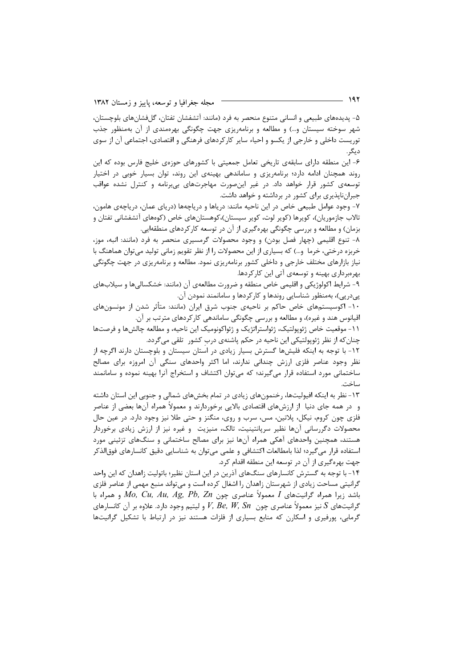۵- پدیدههای طبیعی و انسانی متنوع منحصر به فرد (مانند: آتشفشان تفتان، گلفشانهای بلوچستان، شهر سوخته سیستان و…) و مطالعه و برنامهریزی جهت چگونگی بهرهمندی از آن بهمنظور جذب توریست داخلی و خارجی از یکسو و احیاء سایر کارکردهای فرهنگی و اقتصادی، اجتماعی آن از سوی ديگر.

۶- این منطقه دارای سابقهی تاریخی تعامل جمعیتی با کشورهای حوزهی خلیج فارس بوده که این روند همچنان ادامه دارد؛ برنامهریزی و ساماندهی بهینهی این روند، توان بسیار خوبی در اختیار توسعهی کشور قرار خواهد داد. در غیر اینصورت مهاجرتهای بیبرنامه و کنترل نشده عواقب جبرانناپذیری برای کشور در برداشته و خواهد داشت.

۷- وجود عوامل طبیعی خاص در این ناحیه مانند: دریاها و دریاچهها (دریای عمان، دریاچهی هامون، تالاب جازموریان)، کویرها (کویر لوت، کویر سیستان)،کوهستانهای خاص (کوههای آتشفشانی تفتان و بزمان) و مطالعه و بررسی چگونگی بهرهگیری از آن در توسعه کارکردهای منطقهایی.

٨- تنوع اقليمي (چهار فصل بودن) و وجود محصولات گرمسيري منحصر به فرد (مانند: انبه، موز، خربزه درختی، خرما ۖ و…) که بسیاری از این محصولات را از نظر تقویم زمانی تولید می توان هماهنگ با نیاز بازارهای مختلف خارجی و داخلی کشور برنامهریزی نمود. مطالعه و برنامهریزی در جهت چگونگی بھرمبرداری بھینه و توسعهی آتی این کارکردها.

۹- شرایط اکولوژیکی و اقلیمی خاص منطقه و ضرورت مطالعهی آن (مانند: خشکسالیها و سیلابهای یے،دریے)، بەمنظور شناسایی روندها و کارکردها و سامانمند نمودن آن.

۱۰- اکوسیستمهای خاص حاکم بر ناحیهی جنوب شرق ایران (مانند: متأثر شدن از مونسونهای اقیانوس هند و غیره)، و مطالعه و بررسی چگونگی ساماندهی کارکردهای مترتب بر آن.

١١- موقعیت خاص ژئوپولتیک، ژئواستراتژیک و ژئواکونومیک این ناحیه، و مطالعه چالشها و فرصتها چنان که از نظر ژئوپولتیکی این ناحیه در حکم پاشنهی درب کشور تلقی میگردد.

١٢- با توجه به اینکه فلیشها گسترش بسیار زیادی در استان سیستان و بلوچستان دارند اگرچه از نظر وجود عناصر فلزی ارزش چندانی ندارند، اما اکثر واحدهای سنگی آن امروزه برای مصالح ساختمانی مورد استفاده قرار میگیرند؛ که میتوان اکتشاف و استخراج آنرا بهینه نموده و سامانمند ساخت.

۱۳- نظر به اینکه افیولیتها، رخنمونهای زیادی در تمام بخشهای شمالی و جنوبی این استان داشته و در همه جای دنیا از ارزشهای اقتصادی بالایی برخوردارند و معمولاً همراه آنها بعضی از عناصر فلزی چون کروم، نیکل، پلاتین، مس، سرب و روی، منگنز و حتی طلا نیز وجود دارد. در عین حال محصولات دگررسانی آنها نظیر سرپانتینیت، تالک، منیزیت۔و غیرہ نیز از ارزش زیادی برخوردار هستند، همچنین واحدهای آهکی همراه آنها نیز برای مصالح ساختمانی و سنگهای تزئینی مورد استفاده قرار میگیرد؛ لذا بامطالعات اکتشافی و علمی میتوان به شناسایی دقیق کانسارهای فوق|لذکر جهت بهرهگیری از آن در توسعه این منطقه اقدام کرد.

۱۴- با توجه به گسترش کانسارهای سنگهای آذرین در این استان نظیر؛ باتولیت زاهدان که این واحد گرانیتی مساحت زیادی از شهرستان زاهدان را اشغال کرده است و می تواند منبع مهمی از عناصر فلزی باشد زيرا همراه گرانيتهاى I معمولاً عناصرى چون Mo, Cu, Au, Ag, Pb, Zn و همراه با و لیتیم وجود دارد. علاوه بر آن کانسارهای V, Be, W, Sn گرانیتهای  $S$  نیز معمولاً عناصری چون  $S$  به  $S$ گرمایی، پورفیری و اسکارن که منابع بسیاری از فلزات هستند نیز در ارتباط با تشکیل گرانیتها

- 192